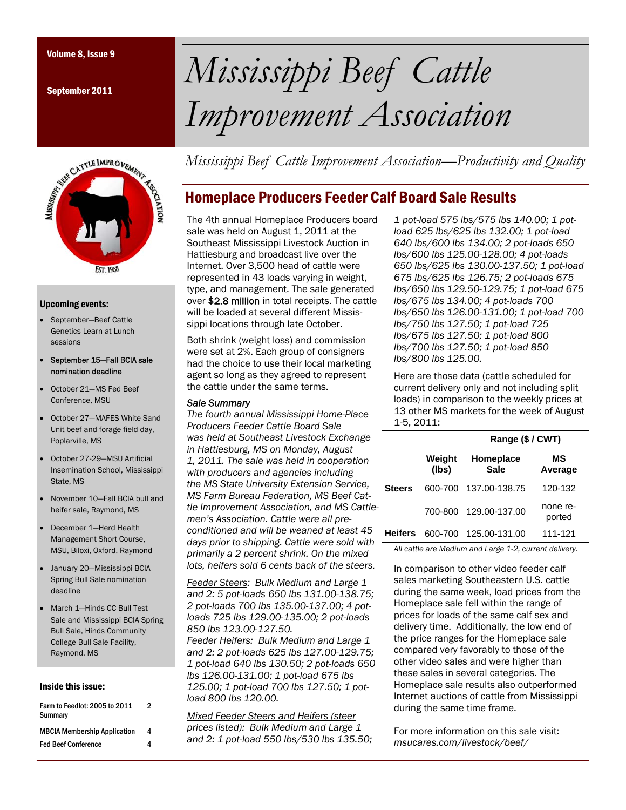September 2011



#### Upcoming events:

- September—Beef Cattle Genetics Learn at Lunch sessions
- September 15—Fall BCIA sale nomination deadline
- October 21—MS Fed Beef Conference, MSU
- October 27—MAFES White Sand Unit beef and forage field day, Poplarville, MS
- October 27-29—MSU Artificial Insemination School, Mississippi State, MS
- November 10—Fall BCIA bull and heifer sale, Raymond, MS
- December 1—Herd Health Management Short Course, MSU, Biloxi, Oxford, Raymond
- January 20—Mississippi BCIA Spring Bull Sale nomination deadline
- March 1—Hinds CC Bull Test Sale and Mississippi BCIA Spring Bull Sale, Hinds Community College Bull Sale Facility, Raymond, MS

#### Inside this issue:

| Farm to Feedlot: 2005 to 2011<br>Summary | 2 |
|------------------------------------------|---|
| <b>MBCIA Membership Application</b>      | 4 |
| <b>Fed Beef Conference</b>               | 4 |

# Volume 8, Issue 9 *Mississippi Beef Cattle Improvement Association*

*Mississippi Beef Cattle Improvement Association—Productivity and Quality* 

## Homeplace Producers Feeder Calf Board Sale Results

The 4th annual Homeplace Producers board sale was held on August 1, 2011 at the Southeast Mississippi Livestock Auction in Hattiesburg and broadcast live over the Internet. Over 3,500 head of cattle were represented in 43 loads varying in weight, type, and management. The sale generated over \$2.8 million in total receipts. The cattle will be loaded at several different Mississippi locations through late October.

Both shrink (weight loss) and commission were set at 2%. Each group of consigners had the choice to use their local marketing agent so long as they agreed to represent the cattle under the same terms.

#### *Sale Summary*

*The fourth annual Mississippi Home-Place Producers Feeder Cattle Board Sale was held at Southeast Livestock Exchange in Hattiesburg, MS on Monday, August 1, 2011. The sale was held in cooperation with producers and agencies including the MS State University Extension Service, MS Farm Bureau Federation, MS Beef Cattle Improvement Association, and MS Cattlemen's Association. Cattle were all preconditioned and will be weaned at least 45 days prior to shipping. Cattle were sold with primarily a 2 percent shrink. On the mixed lots, heifers sold 6 cents back of the steers.* 

*Feeder Steers: Bulk Medium and Large 1 and 2: 5 pot-loads 650 lbs 131.00-138.75; 2 pot-loads 700 lbs 135.00-137.00; 4 potloads 725 lbs 129.00-135.00; 2 pot-loads 850 lbs 123.00-127.50.* 

*Feeder Heifers: Bulk Medium and Large 1 and 2: 2 pot-loads 625 lbs 127.00-129.75; 1 pot-load 640 lbs 130.50; 2 pot-loads 650 lbs 126.00-131.00; 1 pot-load 675 lbs 125.00; 1 pot-load 700 lbs 127.50; 1 potload 800 lbs 120.00.* 

*Mixed Feeder Steers and Heifers (steer prices listed): Bulk Medium and Large 1 and 2: 1 pot-load 550 lbs/530 lbs 135.50;* 

*1 pot-load 575 lbs/575 lbs 140.00; 1 potload 625 lbs/625 lbs 132.00; 1 pot-load 640 lbs/600 lbs 134.00; 2 pot-loads 650 lbs/600 lbs 125.00-128.00; 4 pot-loads 650 lbs/625 lbs 130.00-137.50; 1 pot-load 675 lbs/625 lbs 126.75; 2 pot-loads 675 lbs/650 lbs 129.50-129.75; 1 pot-load 675 lbs/675 lbs 134.00; 4 pot-loads 700 lbs/650 lbs 126.00-131.00; 1 pot-load 700 lbs/750 lbs 127.50; 1 pot-load 725 lbs/675 lbs 127.50; 1 pot-load 800 lbs/700 lbs 127.50; 1 pot-load 850 lbs/800 lbs 125.00.*

Here are those data (cattle scheduled for current delivery only and not including split loads) in comparison to the weekly prices at 13 other MS markets for the week of August 1-5, 2011:

|         |                 | Range (\$ / CWT)         |                    |  |
|---------|-----------------|--------------------------|--------------------|--|
|         | Weight<br>(lbs) | Homeplace<br><b>Sale</b> | МS<br>Average      |  |
| Steers  | 600-700         | 137.00-138.75            | 120-132            |  |
|         | 700-800         | 129.00-137.00            | none re-<br>ported |  |
| Heifers | 600-700         | 125.00-131.00            | 111-121            |  |
|         |                 |                          |                    |  |

*All cattle are Medium and Large 1-2, current delivery.* 

In comparison to other video feeder calf sales marketing Southeastern U.S. cattle during the same week, load prices from the Homeplace sale fell within the range of prices for loads of the same calf sex and delivery time. Additionally, the low end of the price ranges for the Homeplace sale compared very favorably to those of the other video sales and were higher than these sales in several categories. The Homeplace sale results also outperformed Internet auctions of cattle from Mississippi during the same time frame.

For more information on this sale visit: *msucares.com/livestock/beef/*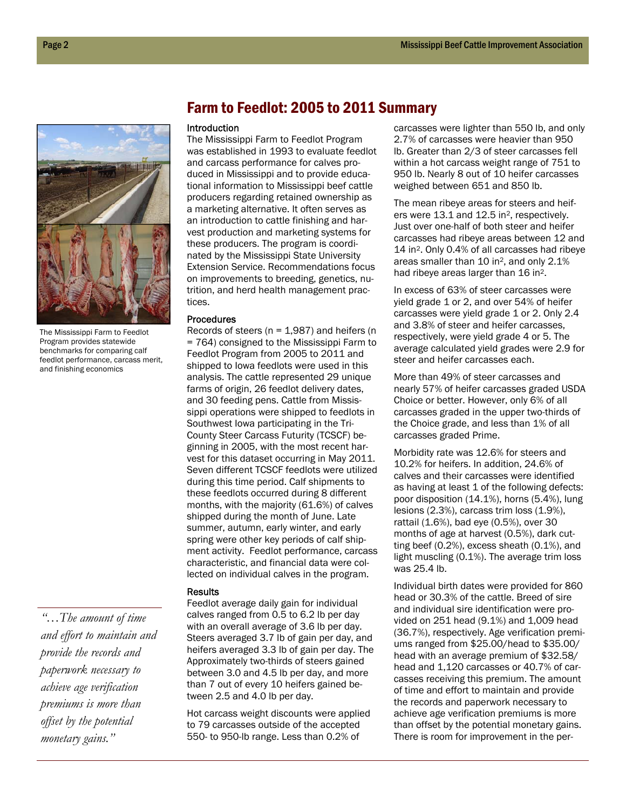

The Mississippi Farm to Feedlot Program provides statewide benchmarks for comparing calf feedlot performance, carcass merit, and finishing economics

*"…The amount of time and effort to maintain and provide the records and paperwork necessary to achieve age verification premiums is more than offset by the potential monetary gains."* 

## Farm to Feedlot: 2005 to 2011 Summary

#### Introduction

The Mississippi Farm to Feedlot Program was established in 1993 to evaluate feedlot and carcass performance for calves produced in Mississippi and to provide educational information to Mississippi beef cattle producers regarding retained ownership as a marketing alternative. It often serves as an introduction to cattle finishing and harvest production and marketing systems for these producers. The program is coordinated by the Mississippi State University Extension Service. Recommendations focus on improvements to breeding, genetics, nutrition, and herd health management practices.

#### Procedures

Records of steers ( $n = 1,987$ ) and heifers ( $n = 1,987$ ) = 764) consigned to the Mississippi Farm to Feedlot Program from 2005 to 2011 and shipped to Iowa feedlots were used in this analysis. The cattle represented 29 unique farms of origin, 26 feedlot delivery dates, and 30 feeding pens. Cattle from Mississippi operations were shipped to feedlots in Southwest Iowa participating in the Tri-County Steer Carcass Futurity (TCSCF) beginning in 2005, with the most recent harvest for this dataset occurring in May 2011. Seven different TCSCF feedlots were utilized during this time period. Calf shipments to these feedlots occurred during 8 different months, with the majority (61.6%) of calves shipped during the month of June. Late summer, autumn, early winter, and early spring were other key periods of calf shipment activity. Feedlot performance, carcass characteristic, and financial data were collected on individual calves in the program.

#### **Results**

Feedlot average daily gain for individual calves ranged from 0.5 to 6.2 lb per day with an overall average of 3.6 lb per day. Steers averaged 3.7 lb of gain per day, and heifers averaged 3.3 lb of gain per day. The Approximately two-thirds of steers gained between 3.0 and 4.5 lb per day, and more than 7 out of every 10 heifers gained between 2.5 and 4.0 lb per day.

Hot carcass weight discounts were applied to 79 carcasses outside of the accepted 550- to 950-lb range. Less than 0.2% of

carcasses were lighter than 550 lb, and only 2.7% of carcasses were heavier than 950 lb. Greater than 2/3 of steer carcasses fell within a hot carcass weight range of 751 to 950 lb. Nearly 8 out of 10 heifer carcasses weighed between 651 and 850 lb.

The mean ribeye areas for steers and heifers were 13.1 and 12.5 in2, respectively. Just over one-half of both steer and heifer carcasses had ribeye areas between 12 and 14 in2. Only 0.4% of all carcasses had ribeye areas smaller than 10 in2, and only 2.1% had ribeye areas larger than 16 in2.

In excess of 63% of steer carcasses were yield grade 1 or 2, and over 54% of heifer carcasses were yield grade 1 or 2. Only 2.4 and 3.8% of steer and heifer carcasses, respectively, were yield grade 4 or 5. The average calculated yield grades were 2.9 for steer and heifer carcasses each.

More than 49% of steer carcasses and nearly 57% of heifer carcasses graded USDA Choice or better. However, only 6% of all carcasses graded in the upper two-thirds of the Choice grade, and less than 1% of all carcasses graded Prime.

Morbidity rate was 12.6% for steers and 10.2% for heifers. In addition, 24.6% of calves and their carcasses were identified as having at least 1 of the following defects: poor disposition (14.1%), horns (5.4%), lung lesions (2.3%), carcass trim loss (1.9%), rattail (1.6%), bad eye (0.5%), over 30 months of age at harvest (0.5%), dark cutting beef (0.2%), excess sheath (0.1%), and light muscling (0.1%). The average trim loss was 25.4 lb.

Individual birth dates were provided for 860 head or 30.3% of the cattle. Breed of sire and individual sire identification were provided on 251 head (9.1%) and 1,009 head (36.7%), respectively. Age verification premiums ranged from \$25.00/head to \$35.00/ head with an average premium of \$32.58/ head and 1,120 carcasses or 40.7% of carcasses receiving this premium. The amount of time and effort to maintain and provide the records and paperwork necessary to achieve age verification premiums is more than offset by the potential monetary gains. There is room for improvement in the per-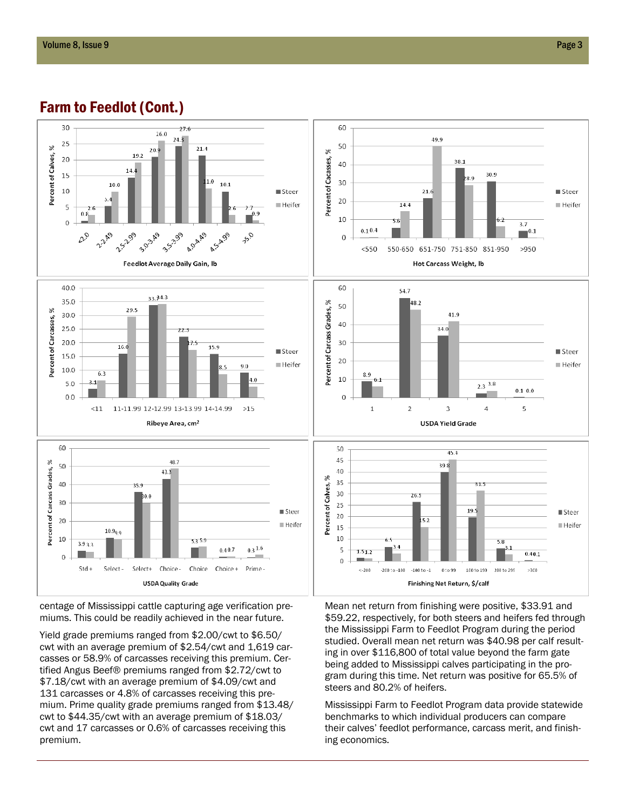## Farm to Feedlot (Cont.)



centage of Mississippi cattle capturing age verification premiums. This could be readily achieved in the near future.

Yield grade premiums ranged from \$2.00/cwt to \$6.50/ cwt with an average premium of \$2.54/cwt and 1,619 carcasses or 58.9% of carcasses receiving this premium. Certified Angus Beef® premiums ranged from \$2.72/cwt to \$7.18/cwt with an average premium of \$4.09/cwt and 131 carcasses or 4.8% of carcasses receiving this premium. Prime quality grade premiums ranged from \$13.48/ cwt to \$44.35/cwt with an average premium of \$18.03/ cwt and 17 carcasses or 0.6% of carcasses receiving this premium.

Mean net return from finishing were positive, \$33.91 and \$59.22, respectively, for both steers and heifers fed through the Mississippi Farm to Feedlot Program during the period studied. Overall mean net return was \$40.98 per calf resulting in over \$116,800 of total value beyond the farm gate being added to Mississippi calves participating in the program during this time. Net return was positive for 65.5% of steers and 80.2% of heifers.

Mississippi Farm to Feedlot Program data provide statewide benchmarks to which individual producers can compare their calves' feedlot performance, carcass merit, and finishing economics.